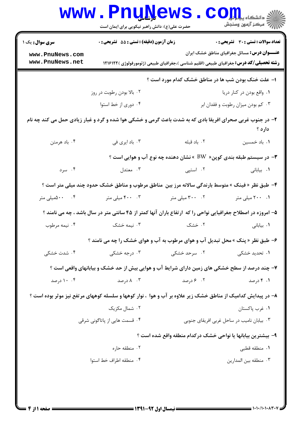|                                    | <b>www.PnuNews</b><br>حضرت علی(ع): دانش راهبر نیکویی برای ایمان است                                          |                                            | في دانشڪا <b>، پياپايل</b><br>أأزأته مركز آزمون وسنجش                 |
|------------------------------------|--------------------------------------------------------------------------------------------------------------|--------------------------------------------|-----------------------------------------------------------------------|
| <b>سری سوال :</b> یک ۱             | <b>زمان آزمون (دقیقه) : تستی : 55 تشریحی : 0</b>                                                             |                                            | تعداد سوالات : تستي : 30 ٪ تشريحي : 0                                 |
| www.PnuNews.com<br>www.PnuNews.net | <b>رشته تحصیلی/کد درس:</b> جغرافیای طبیعی (اقلیم شناسی )،جغرافیای طبیعی (ژئومورفولوژی )۱۲۱۶۱۲۲               |                                            | <b>عنـــوان درس:</b> مسائل جغرافیای مناطق خشک ایران                   |
|                                    |                                                                                                              |                                            | ا- علت خنک بودن شب ها در مناطق خشک کدام مورد است ؟                    |
|                                    | ۰۲ بالا بودن رطوبت در روز                                                                                    |                                            | ۰۱ واقع بودن در کنار دریا                                             |
|                                    | ۰۴ دوری از خط استوا<br>۰۳ کم بودن میزان رطوبت و فقدان ابر                                                    |                                            |                                                                       |
|                                    | ۲- در جنوب غربی صحرای افریقا بادی که به شدت باعث گرمی و خشکی هوا شده و گرد و غبار زیادی حمل می کند چه نام    |                                            | دارد ؟                                                                |
| ۰۴ باد هرمتن                       | ۰۳ باد ایری فی                                                                                               | ۰۲ باد قبله                                | ۰۱ باد خمسین                                                          |
|                                    |                                                                                                              |                                            | ۳- در سیستم طبقه بندی کوپن«  BW  » نشان دهنده چه نوع آب و هوایی است ؟ |
| ۰۴ سرد                             | ۰۳ معتدل                                                                                                     | ۰۲ استپی                                   | ۰۱ بیابانی                                                            |
|                                    | ۴- طبق نظر « فینک » متوسط بارندگی سالانه مرز بین  مناطق مرطوب و مناطق خشک حدود چند میلی متر است ؟            |                                            |                                                                       |
| ۰۴ میلی متر»                       | ۰۳ میلی متر                                                                                                  | ۰۲ میلی متر                                | ۰۱ ۲۰۰ میلی متر                                                       |
|                                    | ۵– امروزه در اصطلاح جغرافیایی نواحی را که آرتفاع باران آنها کمتر از ۴۵ سانتی متر در سال باشد ، چه می نامند ؟ |                                            |                                                                       |
| ۰۴ نيمه مرطوب                      | ۰۳ نیمه خشک                                                                                                  | ۰۲ خشک                                     | ۰۱ بیابانی                                                            |
|                                    | ۶- طبق نظر « پنک » محل تبدیل آب و هوای مرطوب به آب و هوای خشک را چه می نامند ؟                               |                                            |                                                                       |
| ۰۴ شدت خشکی                        | ۰۳ درجه خشک <sub>ی</sub>                                                                                     | ۰۲ سرحد خشک <sub>ی</sub>                   | ۰۱ تحدید خشکی                                                         |
|                                    | ۷- چند درصد از سطح خشکی های زمین دارای شرایط آب و هوایی بیش از حد خشک و بیابانهای واقعی است ؟                |                                            |                                                                       |
| ۰۰ ۱۰ درصد                         | ۰۳ درصد                                                                                                      | ۰۲ ۶ درصد                                  | ۰۱ کارصد                                                              |
|                                    | ۸– در پیدایش کدامیک از مناطق خشک زیر علاوه بر آب و هوا ، نوار کوهها و سلسله کوههای مرتفع نیز موثر بوده است ؟ |                                            |                                                                       |
|                                    | ۰۲ شمال مکزیک                                                                                                |                                            | ۰۱ غرب پاکستان                                                        |
| ۰۴ قسمت هایی از پاتاگونی شرقی      |                                                                                                              | ۰۳ بیابان نامیب در ساحل غربی افریقای جنوبی |                                                                       |
|                                    |                                                                                                              |                                            | ۹– بیشترین بیابانها یا نواحی خشک درکدام منطقه واقع شده است ؟          |
|                                    | ۰۲ منطقه حاره<br>٠١. منطقه قطبي                                                                              |                                            |                                                                       |
|                                    | ۰۴ منطقه اطراف خط استوا                                                                                      |                                            | ۰۳ منطقه بين المدارين                                                 |
|                                    |                                                                                                              |                                            |                                                                       |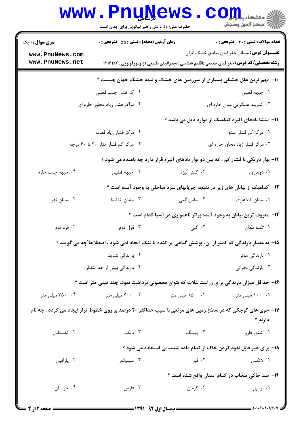|                                    | <b>www.PnuNews</b><br>حضرت علی(ع): دانش راهبر نیکویی برای ایمان است                                      |               | الله دانشگاه پیابانی<br>الله مرکز آزمون وسنجش                         |
|------------------------------------|----------------------------------------------------------------------------------------------------------|---------------|-----------------------------------------------------------------------|
| <b>سری سوال : ۱ یک</b>             | <b>زمان آزمون (دقیقه) : تستی : 55 تشریحی : 0</b>                                                         |               | تعداد سوالات : تستى : 30 - تشريحي : 0                                 |
| www.PnuNews.com<br>www.PnuNews.net | <b>رشته تحصیلی/کد درس:</b> جغرافیای طبیعی (اقلیم شناسی )،جغرافیای طبیعی (ژئومورفولوژی )۱۲۱۶۱۲۲           |               | <b>عنـــوان درس:</b> مسائل جغرافیای مناطق خشک ایران                   |
|                                    | ∙ا− مهم ترین علل خشکی بسیاری از سرزمین های خشک و نیمه خشک جهان چیست ؟                                    |               |                                                                       |
|                                    | ۰۲ کم فشار جنب قطبی                                                                                      |               | ۰۱ جبهه قطبی                                                          |
|                                    | ۰۴ مراکز فشار زیاد مجاور حاره ای                                                                         |               | ۰۳ کمربند همگرایی میان حاره ای                                        |
|                                    |                                                                                                          |               | 11- منشا بادهای آلیزه کدامیک از موارد ذیل می باشد ؟                   |
|                                    | ۰۲ مرکز فشار زیاد قطب                                                                                    |               | ۰۱ مرکز کم فشار استوا                                                 |
|                                    | ۰۴ مرکز کم فشار مدار ۳۰ تا ۶۰ درجه                                                                       |               | ٠٣ مركز فشار زياد مجاور حاره اي                                       |
|                                    | ۱۲- نوار باریکی با فشار کم ، که بین دو نوار بادهای آلیزه قرار دارد چه نامیده می شود ؟                    |               |                                                                       |
| ۰۴ جبهه جنب حاره                   | ۰۳ جبهه قطبی                                                                                             | ۰۲ كنتر أليزه | ۰۱ دولدروم                                                            |
|                                    | ۱۳- کدامیک از بیابان های زیر در نتیجه جریانهای سرد ساحلی به وجود آمده است ؟                              |               |                                                                       |
| ۰۴ بیابان تهر                      | ۰۳ بیابان آتاکاما                                                                                        | ۰۲ بیابان گبی | ۰۱ بیابان کالاهاری                                                    |
|                                    |                                                                                                          |               | ۱۴- معروف ترین بیابان به وجود آمده براثر ناهمواری در آسیا کدام است ؟  |
| ۰۴ قره قوم                         | ۰۳ قزل قوم                                                                                               |               | ۰۱ تکله مکان سه ۲۰ گبی . ۲                                            |
|                                    | ۱۵– به مقدار بارندگی که کمتر از آن، پوشش گیاهی پراکنده یا تنک ایجاد نمی شود ، اصطلاحا ّچه می گویند ؟     |               |                                                                       |
|                                    | ۰۲ بارندگی شدید                                                                                          |               | ۰۱ بارندگی موثر                                                       |
|                                    | ۰۴ بارندگی بیش از حد انتظار                                                                              |               | ۰۳ بارندگی بحرانی                                                     |
|                                    | ۱۶– حداقل میزان بارندگی برای زراعت غلات که بتوان محصولی برداشت نمود، چند میلی متر است ؟                  |               |                                                                       |
| ۰۴ ۲۵۰ میلی متر                    | ۰۳ ۲۰۰ میلی متر                                                                                          | ۰۲ میلی متر   | ۰۱ ۱۰۰ میلی متر                                                       |
|                                    | ۱۷- جوی های کوچکی که در سطح زمین های مرتعی با شیب حداکثر ۲۰ درصد بر روی خطوط تراز ایجاد می گردد ، چه نام |               | دارند ؟                                                               |
| ۰۴ تکستایل                         | ۰۳ بانکت                                                                                                 | ۰۲ پتينگ      | ۰۱ کنتور فارو                                                         |
|                                    |                                                                                                          |               | ۱۸- برای غیر قابل نفوذ کردن خاک از کدام ماده شیمیایی استفاده می شود ؟ |
| ۰۴ پارافين                         | ۰۳ سیلیکون                                                                                               | ۰۲ قیر        | ۰۱ لاتکس                                                              |
|                                    |                                                                                                          |               | ۱۹– سد خاکی تلخاب در کدام استان واقع شده است ؟                        |
| ۰۴ خراسان                          | ۰۳ فارس                                                                                                  | ۰۲ کرمان      | ۰۱ بوشهر                                                              |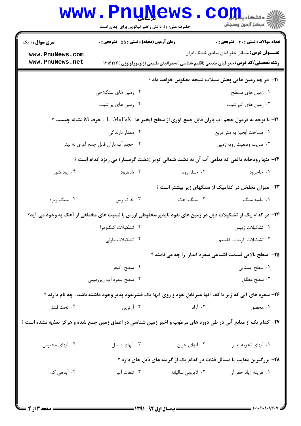|                                    | www.PnuNews<br>حضرت علی(ع): دانش راهبر نیکویی برای ایمان است                                                                                       |                    | الاد دانشگاه پي <mark>ا ولو</mark> ل<br>الا مرکز آزمون وسنجش            |
|------------------------------------|----------------------------------------------------------------------------------------------------------------------------------------------------|--------------------|-------------------------------------------------------------------------|
| <b>سری سوال :</b> ۱ یک             | زمان آزمون (دقیقه) : تستی : 55 آتشریحی : 0                                                                                                         |                    | <b>تعداد سوالات : تستی : 30 ٪ تشریحی : 0</b>                            |
| www.PnuNews.com<br>www.PnuNews.net | <b>رشته تحصیلی/کد درس:</b> جغرافیای طبیعی (اقلیم شناسی )،جغرافیای طبیعی (ژئومورفولوژی )۱۲۱۶۱۲۲                                                     |                    | <b>عنـــوان درس:</b> مسائل جغرافیای مناطق خشک ایران                     |
|                                    |                                                                                                                                                    |                    | +۲- در چه زمین هایی پخش سیلاب نتیجه معکوس خواهد داد ؟                   |
|                                    | ۰۲ زمین های سنگلاخی                                                                                                                                |                    | ۰۱ زمین های مسطح                                                        |
|                                    | ۰۴ زمین های پر شیب                                                                                                                                 |                    | ۰۳ زمین های کم شیب                                                      |
|                                    | $\,$ ۹۱ $\,$ - با توجه به فرمول حجم آب باران قابل جمع آوری از سطح آبخیز ها $\,$ $\,$ $\,$ $\,$ ، $\,$ $\,$ $\,$ مرف $\,$ $\,$ $\,$ نشانه چیست $\,$ |                    |                                                                         |
|                                    | ۰۲ مقدار بارندگی                                                                                                                                   |                    | ۰۱ مساحت آبخیز به متر مربع                                              |
|                                    | ۰۴ حجم أب باران قابل جمع أورى به ليتر                                                                                                              |                    | ۰۳ ضريب وضعيت رويه زمين                                                 |
|                                    | ۲۲- تنها رودخانه دائمی که تمامی آب آن به دشت شمالی کویر (دشت گرمسار) می ریزد کدام است ؟                                                            |                    |                                                                         |
| ۰۴ رود شور                         | ۰۳ شاهرود                                                                                                                                          | ۰۲ حبله رود        | ۰۱ جاجرود                                                               |
|                                    |                                                                                                                                                    |                    | ۲۳- میزان تخلخل در کدامیک از سنگهای زیر بیشتر است ؟                     |
| ۰۴ سنگ ريزه                        | ۰۳ خاک رس                                                                                                                                          | ۰۲ سنگ آهک         | ۰۱ ماسه سنگ                                                             |
|                                    | ۲۴– در کدام یک از تشکیلات ذیل در زمین های نفوذ ناپذیر،مخلوطی ازرس با نسبت های مختلفی از آهک به وجود می آید؟                                        |                    |                                                                         |
|                                    | ۰۲ تشکیلات کنگلومرا                                                                                                                                |                    | ۰۱ تشکیلات ژیپس                                                         |
|                                    | ۰۴ تشکیلات مارنی                                                                                                                                   |                    | ۰۳ تشکیلات کربنات کلسیم                                                 |
|                                    |                                                                                                                                                    |                    | <b>۲۵</b> - ً سطح بالایی قسمت اشباعی سفره آبدار ً را چه می نامند ؟      |
|                                    | ۰۲ سطح آکیفر                                                                                                                                       |                    | ٠١ سطح ايستابي                                                          |
|                                    | ۰۴ سطح سفره آب زیرزمینی                                                                                                                            |                    | ۰۳ سطح مطلق                                                             |
|                                    | ۲۶- سفره های آبی که زیر یا کف آنها غیرقابل نفوذ و روی آنها یک قشرنفوذ پذیر وجود داشته باشد ، چه نام دارند ؟                                        |                    |                                                                         |
| ۰۴ تحت فشار                        | ۰۳ آرتزین                                                                                                                                          | ۰۲ آزاد            | ۰۱ محصور                                                                |
|                                    | <b>۲۷</b> – کدام یک از منابع آبی در طی دوره های مرطوب و اخیر زمین شناسی در اعماق زمین جمع شده و هرگز تغذیه <u>نشده است ؟</u>                       |                    |                                                                         |
| ۰۴ آبهای محبوس                     | ۰۳ آبهای فسیل                                                                                                                                      | ۰۲ آبهای جوان      | ۰۱ آبهای تجزیه پذیر                                                     |
|                                    |                                                                                                                                                    |                    | ۲۸- بزرگترین معایب یا مسائل قنات در کدام یک از گزینه های ذیل جای دارد ؟ |
| ۰۴ آبدهی کم                        | ۰۳ تلفات آب                                                                                                                                        | ۰۲ لایروبی سالیانه | ٠١. هزينه زياد حفر آن                                                   |
|                                    |                                                                                                                                                    |                    |                                                                         |